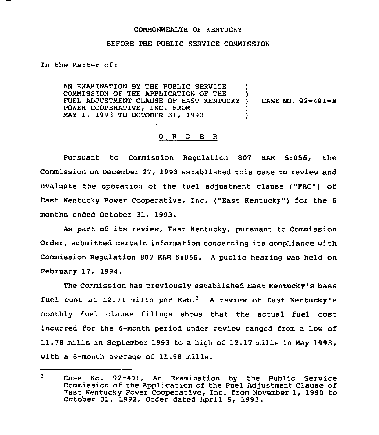## COMMONWEALTH OF KENTUCKY

## BEFORE THE PUBLIC SERVICE COMMISSION

## In the Matter of:

AN EXAMINATION BY THE PUBLIC SERVICE COMMISSION OF THE APPLICATION OF THE FUEL ADJUSTMENT CLAUSE OF EAST KENTUCKY POWER COOPERATIVE, INC. FROM MAY 1, 1993 TO OCTOBER 31, 1993 ) ) CASE NO. 92-491-B )

## 0 <sup>R</sup> <sup>D</sup> E R

Pursuant to Commission Regulation 007 KAR 5:056, the Commission on December 27, 1993 established this case to review and evaluate the operation of the fuel adjustment clause ("FAC") of East Kentucky Power Cooperative, Inc. ("East Kentucky") for the 6 months ended October 31, 1993.

As part of its review, East Kentucky, pursuant to Commission Order, submitted certain information concerning its compliance with Commission Regulation 807 KAR 5:056. <sup>A</sup> public hearing was held on February 17, 1994.

The Commission has previously established East Kentucky's base fuel cost at  $12.71$  mills per Kwh.<sup>1</sup> A review of East Kentucky's monthly fuel clause filings shows that the actual fuel cost incurred for the 6-month period under review ranged from a low of 11.78mills in September 1993 to a high of 12.17 mills in May 1993, with a 6-month average of 11.98 mills.

 $\mathbf{1}$ Case No. 92-491, An Examination by the Public Service Commission of the Application of the Fuel Adjustment Clause of East Kentucky Power Cooperative, Inc. from November 1, 1990 to October 31, 1992, Order dated April 5, 1993.